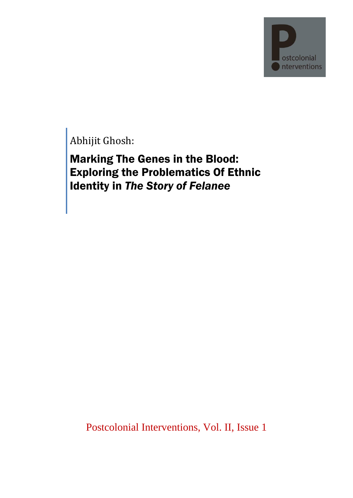ostcolonial nterventions

Abhijit Ghosh:

Marking The Genes in the Blood: Exploring the Problematics Of Ethnic Identity in *The Story of Felanee*

Postcolonial Interventions, Vol. II, Issue 1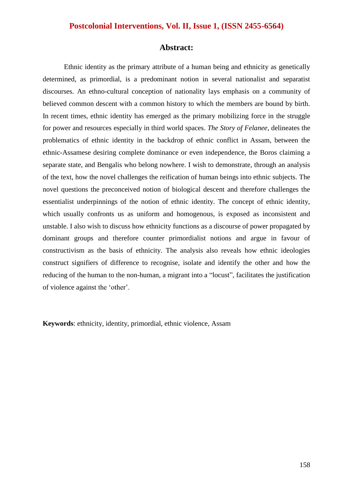#### **Abstract:**

Ethnic identity as the primary attribute of a human being and ethnicity as genetically determined, as primordial, is a predominant notion in several nationalist and separatist discourses. An ethno-cultural conception of nationality lays emphasis on a community of believed common descent with a common history to which the members are bound by birth. In recent times, ethnic identity has emerged as the primary mobilizing force in the struggle for power and resources especially in third world spaces. *The Story of Felanee*, delineates the problematics of ethnic identity in the backdrop of ethnic conflict in Assam, between the ethnic-Assamese desiring complete dominance or even independence, the Boros claiming a separate state, and Bengalis who belong nowhere. I wish to demonstrate, through an analysis of the text, how the novel challenges the reification of human beings into ethnic subjects. The novel questions the preconceived notion of biological descent and therefore challenges the essentialist underpinnings of the notion of ethnic identity. The concept of ethnic identity, which usually confronts us as uniform and homogenous, is exposed as inconsistent and unstable. I also wish to discuss how ethnicity functions as a discourse of power propagated by dominant groups and therefore counter primordialist notions and argue in favour of constructivism as the basis of ethnicity. The analysis also reveals how ethnic ideologies construct signifiers of difference to recognise, isolate and identify the other and how the reducing of the human to the non-human, a migrant into a "locust", facilitates the justification of violence against the "other".

**Keywords**: ethnicity, identity, primordial, ethnic violence, Assam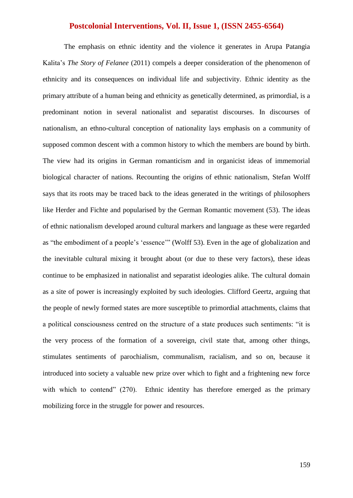The emphasis on ethnic identity and the violence it generates in Arupa Patangia Kalita"s *The Story of Felanee* (2011) compels a deeper consideration of the phenomenon of ethnicity and its consequences on individual life and subjectivity. Ethnic identity as the primary attribute of a human being and ethnicity as genetically determined, as primordial, is a predominant notion in several nationalist and separatist discourses. In discourses of nationalism, an ethno-cultural conception of nationality lays emphasis on a community of supposed common descent with a common history to which the members are bound by birth. The view had its origins in German romanticism and in organicist ideas of immemorial biological character of nations. Recounting the origins of ethnic nationalism, Stefan Wolff says that its roots may be traced back to the ideas generated in the writings of philosophers like Herder and Fichte and popularised by the German Romantic movement (53). The ideas of ethnic nationalism developed around cultural markers and language as these were regarded as "the embodiment of a people"s "essence"" (Wolff 53). Even in the age of globalization and the inevitable cultural mixing it brought about (or due to these very factors), these ideas continue to be emphasized in nationalist and separatist ideologies alike. The cultural domain as a site of power is increasingly exploited by such ideologies. Clifford Geertz, arguing that the people of newly formed states are more susceptible to primordial attachments, claims that a political consciousness centred on the structure of a state produces such sentiments: "it is the very process of the formation of a sovereign, civil state that, among other things, stimulates sentiments of parochialism, communalism, racialism, and so on, because it introduced into society a valuable new prize over which to fight and a frightening new force with which to contend" (270). Ethnic identity has therefore emerged as the primary mobilizing force in the struggle for power and resources.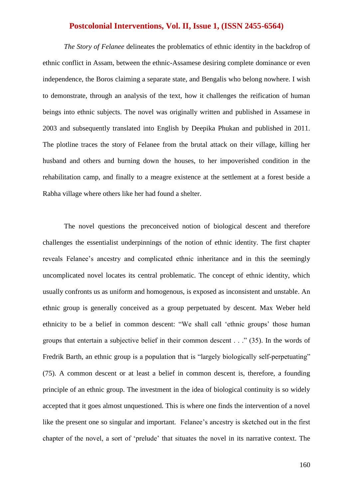*The Story of Felanee* delineates the problematics of ethnic identity in the backdrop of ethnic conflict in Assam, between the ethnic-Assamese desiring complete dominance or even independence, the Boros claiming a separate state, and Bengalis who belong nowhere. I wish to demonstrate, through an analysis of the text, how it challenges the reification of human beings into ethnic subjects. The novel was originally written and published in Assamese in 2003 and subsequently translated into English by Deepika Phukan and published in 2011. The plotline traces the story of Felanee from the brutal attack on their village, killing her husband and others and burning down the houses, to her impoverished condition in the rehabilitation camp, and finally to a meagre existence at the settlement at a forest beside a Rabha village where others like her had found a shelter.

The novel questions the preconceived notion of biological descent and therefore challenges the essentialist underpinnings of the notion of ethnic identity. The first chapter reveals Felanee"s ancestry and complicated ethnic inheritance and in this the seemingly uncomplicated novel locates its central problematic. The concept of ethnic identity, which usually confronts us as uniform and homogenous, is exposed as inconsistent and unstable. An ethnic group is generally conceived as a group perpetuated by descent. Max Weber held ethnicity to be a belief in common descent: "We shall call "ethnic groups" those human groups that entertain a subjective belief in their common descent . . ." (35). In the words of Fredrik Barth, an ethnic group is a population that is "largely biologically self-perpetuating" (75). A common descent or at least a belief in common descent is, therefore, a founding principle of an ethnic group. The investment in the idea of biological continuity is so widely accepted that it goes almost unquestioned. This is where one finds the intervention of a novel like the present one so singular and important. Felanee's ancestry is sketched out in the first chapter of the novel, a sort of "prelude" that situates the novel in its narrative context. The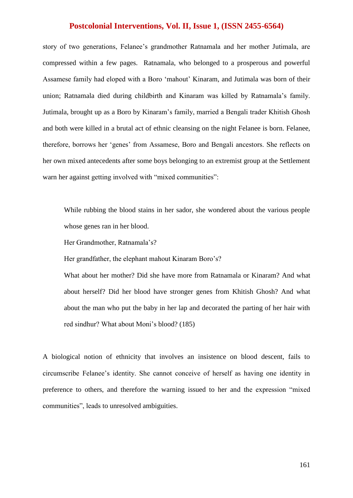story of two generations, Felanee"s grandmother Ratnamala and her mother Jutimala, are compressed within a few pages. Ratnamala, who belonged to a prosperous and powerful Assamese family had eloped with a Boro "mahout" Kinaram, and Jutimala was born of their union; Ratnamala died during childbirth and Kinaram was killed by Ratnamala"s family. Jutimala, brought up as a Boro by Kinaram"s family, married a Bengali trader Khitish Ghosh and both were killed in a brutal act of ethnic cleansing on the night Felanee is born. Felanee, therefore, borrows her "genes" from Assamese, Boro and Bengali ancestors. She reflects on her own mixed antecedents after some boys belonging to an extremist group at the Settlement warn her against getting involved with "mixed communities":

While rubbing the blood stains in her sador, she wondered about the various people whose genes ran in her blood.

Her Grandmother, Ratnamala's?

Her grandfather, the elephant mahout Kinaram Boro's?

What about her mother? Did she have more from Ratnamala or Kinaram? And what about herself? Did her blood have stronger genes from Khitish Ghosh? And what about the man who put the baby in her lap and decorated the parting of her hair with red sindhur? What about Moni"s blood? (185)

A biological notion of ethnicity that involves an insistence on blood descent, fails to circumscribe Felanee's identity. She cannot conceive of herself as having one identity in preference to others, and therefore the warning issued to her and the expression "mixed communities", leads to unresolved ambiguities.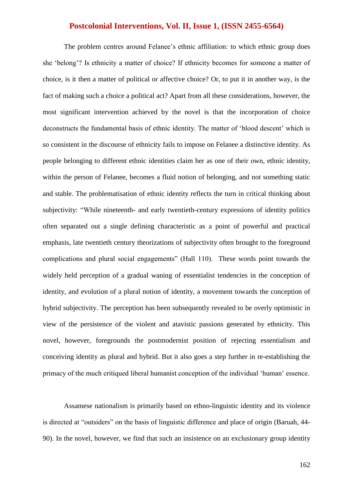The problem centres around Felanee's ethnic affiliation: to which ethnic group does she "belong"? Is ethnicity a matter of choice? If ethnicity becomes for someone a matter of choice, is it then a matter of political or affective choice? Or, to put it in another way, is the fact of making such a choice a political act? Apart from all these considerations, however, the most significant intervention achieved by the novel is that the incorporation of choice deconstructs the fundamental basis of ethnic identity. The matter of 'blood descent' which is so consistent in the discourse of ethnicity fails to impose on Felanee a distinctive identity. As people belonging to different ethnic identities claim her as one of their own, ethnic identity, within the person of Felanee, becomes a fluid notion of belonging, and not something static and stable. The problematisation of ethnic identity reflects the turn in critical thinking about subjectivity: "While nineteenth- and early twentieth-century expressions of identity politics often separated out a single defining characteristic as a point of powerful and practical emphasis, late twentieth century theorizations of subjectivity often brought to the foreground complications and plural social engagements" (Hall 110). These words point towards the widely held perception of a gradual waning of essentialist tendencies in the conception of identity, and evolution of a plural notion of identity, a movement towards the conception of hybrid subjectivity. The perception has been subsequently revealed to be overly optimistic in view of the persistence of the violent and atavistic passions generated by ethnicity. This novel, however, foregrounds the postmodernist position of rejecting essentialism and conceiving identity as plural and hybrid. But it also goes a step further in re-establishing the primacy of the much critiqued liberal humanist conception of the individual "human" essence.

Assamese nationalism is primarily based on ethno-linguistic identity and its violence is directed at "outsiders" on the basis of linguistic difference and place of origin (Baruah, 44- 90). In the novel, however, we find that such an insistence on an exclusionary group identity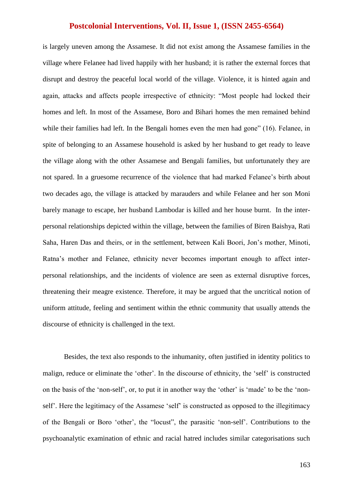is largely uneven among the Assamese. It did not exist among the Assamese families in the village where Felanee had lived happily with her husband; it is rather the external forces that disrupt and destroy the peaceful local world of the village. Violence, it is hinted again and again, attacks and affects people irrespective of ethnicity: "Most people had locked their homes and left. In most of the Assamese, Boro and Bihari homes the men remained behind while their families had left. In the Bengali homes even the men had gone" (16). Felanee, in spite of belonging to an Assamese household is asked by her husband to get ready to leave the village along with the other Assamese and Bengali families, but unfortunately they are not spared. In a gruesome recurrence of the violence that had marked Felanee's birth about two decades ago, the village is attacked by marauders and while Felanee and her son Moni barely manage to escape, her husband Lambodar is killed and her house burnt. In the interpersonal relationships depicted within the village, between the families of Biren Baishya, Rati Saha, Haren Das and theirs, or in the settlement, between Kali Boori, Jon"s mother, Minoti, Ratna"s mother and Felanee, ethnicity never becomes important enough to affect interpersonal relationships, and the incidents of violence are seen as external disruptive forces, threatening their meagre existence. Therefore, it may be argued that the uncritical notion of uniform attitude, feeling and sentiment within the ethnic community that usually attends the discourse of ethnicity is challenged in the text.

Besides, the text also responds to the inhumanity, often justified in identity politics to malign, reduce or eliminate the "other". In the discourse of ethnicity, the "self" is constructed on the basis of the "non-self", or, to put it in another way the "other" is "made" to be the "nonself'. Here the legitimacy of the Assamese 'self' is constructed as opposed to the illegitimacy of the Bengali or Boro "other", the "locust", the parasitic "non-self". Contributions to the psychoanalytic examination of ethnic and racial hatred includes similar categorisations such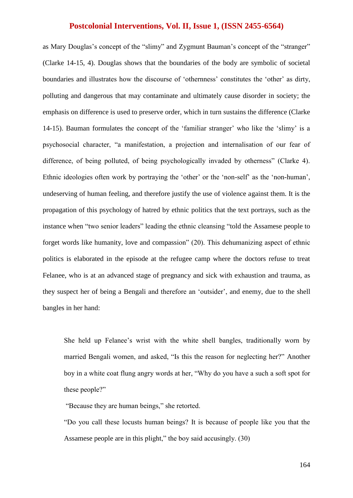as Mary Douglas's concept of the "slimy" and Zygmunt Bauman's concept of the "stranger" (Clarke 14-15, 4). Douglas shows that the boundaries of the body are symbolic of societal boundaries and illustrates how the discourse of "othernness" constitutes the "other" as dirty, polluting and dangerous that may contaminate and ultimately cause disorder in society; the emphasis on difference is used to preserve order, which in turn sustains the difference (Clarke 14-15). Bauman formulates the concept of the "familiar stranger" who like the "slimy" is a psychosocial character, "a manifestation, a projection and internalisation of our fear of difference, of being polluted, of being psychologically invaded by otherness" (Clarke 4). Ethnic ideologies often work by portraying the 'other' or the 'non-self' as the 'non-human', undeserving of human feeling, and therefore justify the use of violence against them. It is the propagation of this psychology of hatred by ethnic politics that the text portrays, such as the instance when "two senior leaders" leading the ethnic cleansing "told the Assamese people to forget words like humanity, love and compassion" (20). This dehumanizing aspect of ethnic politics is elaborated in the episode at the refugee camp where the doctors refuse to treat Felanee, who is at an advanced stage of pregnancy and sick with exhaustion and trauma, as they suspect her of being a Bengali and therefore an "outsider", and enemy, due to the shell bangles in her hand:

She held up Felanee's wrist with the white shell bangles, traditionally worn by married Bengali women, and asked, "Is this the reason for neglecting her?" Another boy in a white coat flung angry words at her, "Why do you have a such a soft spot for these people?"

"Because they are human beings," she retorted.

"Do you call these locusts human beings? It is because of people like you that the Assamese people are in this plight," the boy said accusingly. (30)

164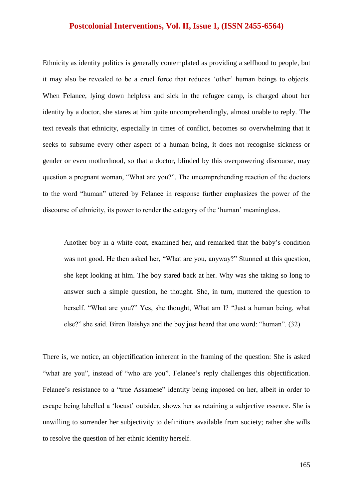Ethnicity as identity politics is generally contemplated as providing a selfhood to people, but it may also be revealed to be a cruel force that reduces "other" human beings to objects. When Felanee, lying down helpless and sick in the refugee camp, is charged about her identity by a doctor, she stares at him quite uncomprehendingly, almost unable to reply. The text reveals that ethnicity, especially in times of conflict, becomes so overwhelming that it seeks to subsume every other aspect of a human being, it does not recognise sickness or gender or even motherhood, so that a doctor, blinded by this overpowering discourse, may question a pregnant woman, "What are you?". The uncomprehending reaction of the doctors to the word "human" uttered by Felanee in response further emphasizes the power of the discourse of ethnicity, its power to render the category of the 'human' meaningless.

Another boy in a white coat, examined her, and remarked that the baby"s condition was not good. He then asked her, "What are you, anyway?" Stunned at this question, she kept looking at him. The boy stared back at her. Why was she taking so long to answer such a simple question, he thought. She, in turn, muttered the question to herself. "What are you?" Yes, she thought, What am I? "Just a human being, what else?" she said. Biren Baishya and the boy just heard that one word: "human". (32)

There is, we notice, an objectification inherent in the framing of the question: She is asked "what are you", instead of "who are you". Felanee's reply challenges this objectification. Felanee's resistance to a "true Assamese" identity being imposed on her, albeit in order to escape being labelled a "locust" outsider, shows her as retaining a subjective essence. She is unwilling to surrender her subjectivity to definitions available from society; rather she wills to resolve the question of her ethnic identity herself.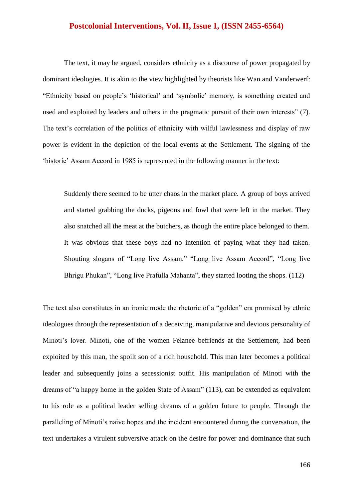The text, it may be argued, considers ethnicity as a discourse of power propagated by dominant ideologies. It is akin to the view highlighted by theorists like Wan and Vanderwerf: "Ethnicity based on people"s "historical" and "symbolic" memory, is something created and used and exploited by leaders and others in the pragmatic pursuit of their own interests" (7). The text's correlation of the politics of ethnicity with wilful lawlessness and display of raw power is evident in the depiction of the local events at the Settlement. The signing of the 'historic' Assam Accord in 1985 is represented in the following manner in the text:

Suddenly there seemed to be utter chaos in the market place. A group of boys arrived and started grabbing the ducks, pigeons and fowl that were left in the market. They also snatched all the meat at the butchers, as though the entire place belonged to them. It was obvious that these boys had no intention of paying what they had taken. Shouting slogans of "Long live Assam," "Long live Assam Accord", "Long live Bhrigu Phukan", "Long live Prafulla Mahanta", they started looting the shops. (112)

The text also constitutes in an ironic mode the rhetoric of a "golden" era promised by ethnic ideologues through the representation of a deceiving, manipulative and devious personality of Minoti's lover. Minoti, one of the women Felanee befriends at the Settlement, had been exploited by this man, the spoilt son of a rich household. This man later becomes a political leader and subsequently joins a secessionist outfit. His manipulation of Minoti with the dreams of "a happy home in the golden State of Assam" (113), can be extended as equivalent to his role as a political leader selling dreams of a golden future to people. Through the paralleling of Minoti"s naive hopes and the incident encountered during the conversation, the text undertakes a virulent subversive attack on the desire for power and dominance that such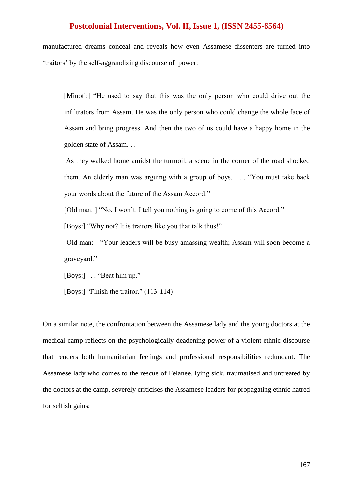manufactured dreams conceal and reveals how even Assamese dissenters are turned into "traitors" by the self-aggrandizing discourse of power:

[Minoti:] "He used to say that this was the only person who could drive out the infiltrators from Assam. He was the only person who could change the whole face of Assam and bring progress. And then the two of us could have a happy home in the golden state of Assam. . .

As they walked home amidst the turmoil, a scene in the corner of the road shocked them. An elderly man was arguing with a group of boys. . . . "You must take back your words about the future of the Assam Accord."

[Old man: ] "No, I won't. I tell you nothing is going to come of this Accord."

[Boys:] "Why not? It is traitors like you that talk thus!"

[Old man: ] "Your leaders will be busy amassing wealth; Assam will soon become a graveyard."

[Boys:] . . . "Beat him up."

[Boys:] "Finish the traitor." (113-114)

On a similar note, the confrontation between the Assamese lady and the young doctors at the medical camp reflects on the psychologically deadening power of a violent ethnic discourse that renders both humanitarian feelings and professional responsibilities redundant. The Assamese lady who comes to the rescue of Felanee, lying sick, traumatised and untreated by the doctors at the camp, severely criticises the Assamese leaders for propagating ethnic hatred for selfish gains: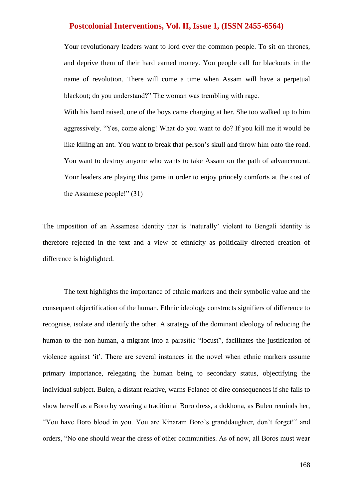Your revolutionary leaders want to lord over the common people. To sit on thrones, and deprive them of their hard earned money. You people call for blackouts in the name of revolution. There will come a time when Assam will have a perpetual blackout; do you understand?" The woman was trembling with rage.

With his hand raised, one of the boys came charging at her. She too walked up to him aggressively. "Yes, come along! What do you want to do? If you kill me it would be like killing an ant. You want to break that person's skull and throw him onto the road. You want to destroy anyone who wants to take Assam on the path of advancement. Your leaders are playing this game in order to enjoy princely comforts at the cost of the Assamese people!" (31)

The imposition of an Assamese identity that is "naturally" violent to Bengali identity is therefore rejected in the text and a view of ethnicity as politically directed creation of difference is highlighted.

The text highlights the importance of ethnic markers and their symbolic value and the consequent objectification of the human. Ethnic ideology constructs signifiers of difference to recognise, isolate and identify the other. A strategy of the dominant ideology of reducing the human to the non-human, a migrant into a parasitic "locust", facilitates the justification of violence against "it". There are several instances in the novel when ethnic markers assume primary importance, relegating the human being to secondary status, objectifying the individual subject. Bulen, a distant relative, warns Felanee of dire consequences if she fails to show herself as a Boro by wearing a traditional Boro dress, a dokhona, as Bulen reminds her, "You have Boro blood in you. You are Kinaram Boro"s granddaughter, don"t forget!" and orders, "No one should wear the dress of other communities. As of now, all Boros must wear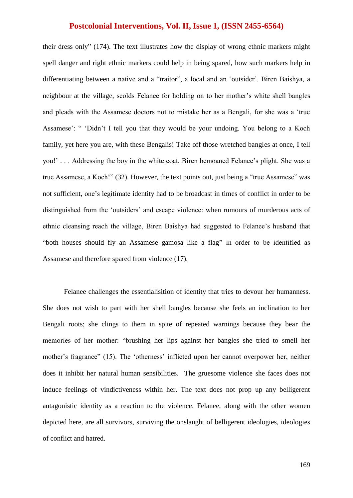their dress only" (174). The text illustrates how the display of wrong ethnic markers might spell danger and right ethnic markers could help in being spared, how such markers help in differentiating between a native and a "traitor", a local and an "outsider". Biren Baishya, a neighbour at the village, scolds Felanee for holding on to her mother"s white shell bangles and pleads with the Assamese doctors not to mistake her as a Bengali, for she was a "true Assamese': " 'Didn't I tell you that they would be your undoing. You belong to a Koch family, yet here you are, with these Bengalis! Take off those wretched bangles at once, I tell you!" . . . Addressing the boy in the white coat, Biren bemoaned Felanee"s plight. She was a true Assamese, a Koch!" (32). However, the text points out, just being a "true Assamese" was not sufficient, one"s legitimate identity had to be broadcast in times of conflict in order to be distinguished from the "outsiders" and escape violence: when rumours of murderous acts of ethnic cleansing reach the village, Biren Baishya had suggested to Felanee"s husband that "both houses should fly an Assamese gamosa like a flag" in order to be identified as Assamese and therefore spared from violence (17).

Felanee challenges the essentialisition of identity that tries to devour her humanness. She does not wish to part with her shell bangles because she feels an inclination to her Bengali roots; she clings to them in spite of repeated warnings because they bear the memories of her mother: "brushing her lips against her bangles she tried to smell her mother's fragrance" (15). The 'otherness' inflicted upon her cannot overpower her, neither does it inhibit her natural human sensibilities. The gruesome violence she faces does not induce feelings of vindictiveness within her. The text does not prop up any belligerent antagonistic identity as a reaction to the violence. Felanee, along with the other women depicted here, are all survivors, surviving the onslaught of belligerent ideologies, ideologies of conflict and hatred.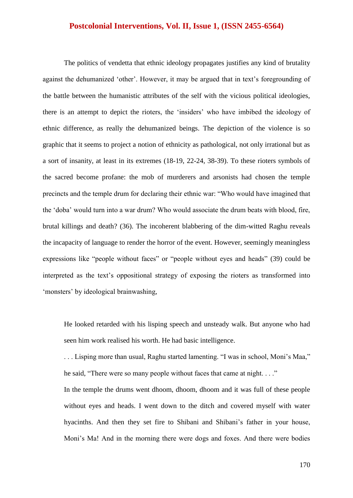The politics of vendetta that ethnic ideology propagates justifies any kind of brutality against the dehumanized 'other'. However, it may be argued that in text's foregrounding of the battle between the humanistic attributes of the self with the vicious political ideologies, there is an attempt to depict the rioters, the "insiders" who have imbibed the ideology of ethnic difference, as really the dehumanized beings. The depiction of the violence is so graphic that it seems to project a notion of ethnicity as pathological, not only irrational but as a sort of insanity, at least in its extremes (18-19, 22-24, 38-39). To these rioters symbols of the sacred become profane: the mob of murderers and arsonists had chosen the temple precincts and the temple drum for declaring their ethnic war: "Who would have imagined that the "doba" would turn into a war drum? Who would associate the drum beats with blood, fire, brutal killings and death? (36). The incoherent blabbering of the dim-witted Raghu reveals the incapacity of language to render the horror of the event. However, seemingly meaningless expressions like "people without faces" or "people without eyes and heads" (39) could be interpreted as the text"s oppositional strategy of exposing the rioters as transformed into 'monsters' by ideological brainwashing,

He looked retarded with his lisping speech and unsteady walk. But anyone who had seen him work realised his worth. He had basic intelligence.

. . . Lisping more than usual, Raghu started lamenting. "I was in school, Moni"s Maa," he said, "There were so many people without faces that came at night. . . ."

In the temple the drums went dhoom, dhoom, dhoom and it was full of these people without eyes and heads. I went down to the ditch and covered myself with water hyacinths. And then they set fire to Shibani and Shibani"s father in your house, Moni"s Ma! And in the morning there were dogs and foxes. And there were bodies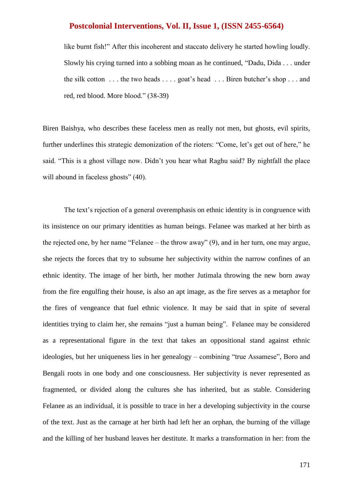like burnt fish!" After this incoherent and staccato delivery he started howling loudly. Slowly his crying turned into a sobbing moan as he continued, "Dadu, Dida . . . under the silk cotton  $\dots$  the two heads  $\dots$  goat's head  $\dots$  Biren butcher's shop  $\dots$  and red, red blood. More blood." (38-39)

Biren Baishya, who describes these faceless men as really not men, but ghosts, evil spirits, further underlines this strategic demonization of the rioters: "Come, let's get out of here," he said. "This is a ghost village now. Didn"t you hear what Raghu said? By nightfall the place will abound in faceless ghosts" (40).

The text's rejection of a general overemphasis on ethnic identity is in congruence with its insistence on our primary identities as human beings. Felanee was marked at her birth as the rejected one, by her name "Felanee – the throw away" (9), and in her turn, one may argue, she rejects the forces that try to subsume her subjectivity within the narrow confines of an ethnic identity. The image of her birth, her mother Jutimala throwing the new born away from the fire engulfing their house, is also an apt image, as the fire serves as a metaphor for the fires of vengeance that fuel ethnic violence. It may be said that in spite of several identities trying to claim her, she remains "just a human being". Felanee may be considered as a representational figure in the text that takes an oppositional stand against ethnic ideologies, but her uniqueness lies in her genealogy – combining "true Assamese", Boro and Bengali roots in one body and one consciousness. Her subjectivity is never represented as fragmented, or divided along the cultures she has inherited, but as stable. Considering Felanee as an individual, it is possible to trace in her a developing subjectivity in the course of the text. Just as the carnage at her birth had left her an orphan, the burning of the village and the killing of her husband leaves her destitute. It marks a transformation in her: from the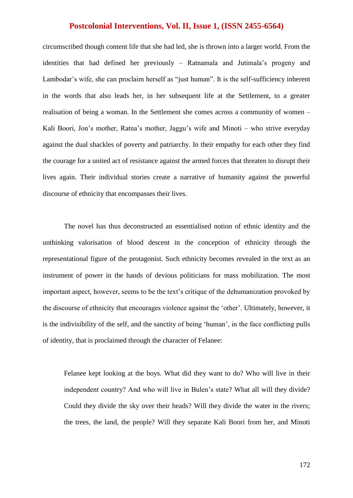circumscribed though content life that she had led, she is thrown into a larger world. From the identities that had defined her previously – Ratnamala and Jutimala"s progeny and Lambodar's wife, she can proclaim herself as "just human". It is the self-sufficiency inherent in the words that also leads her, in her subsequent life at the Settlement, to a greater realisation of being a woman. In the Settlement she comes across a community of women – Kali Boori, Jon's mother, Ratna's mother, Jaggu's wife and Minoti – who strive everyday against the dual shackles of poverty and patriarchy. In their empathy for each other they find the courage for a united act of resistance against the armed forces that threaten to disrupt their lives again. Their individual stories create a narrative of humanity against the powerful discourse of ethnicity that encompasses their lives.

The novel has thus deconstructed an essentialised notion of ethnic identity and the unthinking valorisation of blood descent in the conception of ethnicity through the representational figure of the protagonist. Such ethnicity becomes revealed in the text as an instrument of power in the hands of devious politicians for mass mobilization. The most important aspect, however, seems to be the text's critique of the dehumanization provoked by the discourse of ethnicity that encourages violence against the "other". Ultimately, however, it is the indivisibility of the self, and the sanctity of being "human", in the face conflicting pulls of identity, that is proclaimed through the character of Felanee:

Felanee kept looking at the boys. What did they want to do? Who will live in their independent country? And who will live in Bulen's state? What all will they divide? Could they divide the sky over their heads? Will they divide the water in the rivers; the trees, the land, the people? Will they separate Kali Boori from her, and Minoti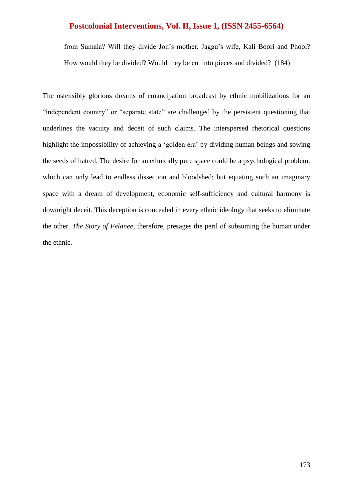from Sumala? Will they divide Jon"s mother, Jaggu"s wife, Kali Boori and Phool? How would they be divided? Would they be cut into pieces and divided? (184)

The ostensibly glorious dreams of emancipation broadcast by ethnic mobilizations for an "independent country" or "separate state" are challenged by the persistent questioning that underlines the vacuity and deceit of such claims. The interspersed rhetorical questions highlight the impossibility of achieving a "golden era" by dividing human beings and sowing the seeds of hatred. The desire for an ethnically pure space could be a psychological problem, which can only lead to endless dissection and bloodshed; but equating such an imaginary space with a dream of development, economic self-sufficiency and cultural harmony is downright deceit. This deception is concealed in every ethnic ideology that seeks to eliminate the other. *The Story of Felanee*, therefore, presages the peril of subsuming the human under the ethnic.